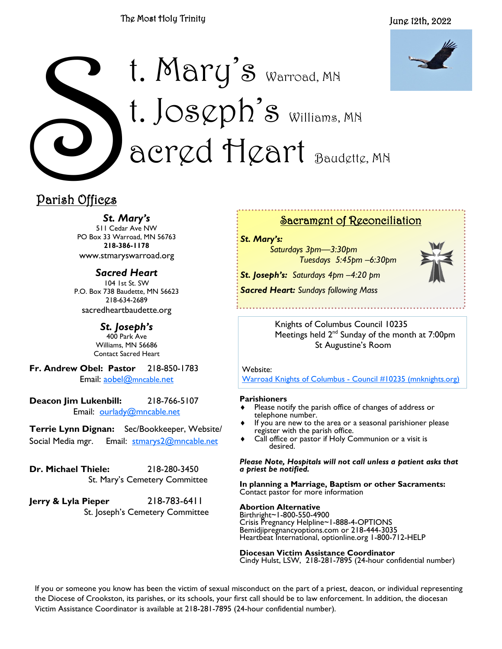### The Most Holy Trinity



# Parish Offices t. Mary's Warroad, MN t. Jos $\varphi$ ph's Williams, MN acred Heart Baudette, MN

# Parish Offices

*St. Mary's*

511 Cedar Ave NW PO Box 33 Warroad, MN 56763 **218-386-1178** www.stmaryswarroad.org

*Sacred Heart* 104 1st St. SW P.O. Box 738 Baudette, MN 56623 218-634-2689 sacredheartbaudette.org

> *St. Joseph's* 400 Park Ave Williams, MN 56686 Contact Sacred Heart

**Fr. Andrew Obel: Pastor** 218-850-1783 Email: [aobel@](mailto:%20aobel@mncable.net)mncable.net

**Deacon Jim Lukenbill:** 218-766-5107 Email: [ourlady@mncable.net](mailto:ourlady@mncable.net)

**Terrie Lynn Dignan:** Sec/Bookkeeper, Website/ Social Media mgr. Email: [stmarys2@mncable.net](mailto:%20Stmarys2@mncable.net)

**Dr. Michael Thiele:** 218-280-3450 St. Mary's Cemetery Committee

**Jerry & Lyla Pieper** 218-783-6411 St. Joseph's Cemetery Committee

## Sacrament of Reconciliation

*St. Mary's:* 

*Saturdays 3pm—3:30pm Tuesdays 5:45pm –6:30pm*

*St. Joseph's: Saturdays 4pm –4:20 pm Sacred Heart: Sundays following Mass* 



Knights of Columbus Council 10235 Meetings held 2<sup>nd</sup> Sunday of the month at 7:00pm St Augustine's Room

Website:

[Warroad Knights of Columbus -](https://urldefense.com/v3/__https:/kc10235.mnknights.org/__;!!PkZFZeoa!vN_7KBQK7Exn-UymYA7_bA6v9ar8_rfWKmb14G7F9fAbYDjsCk-xaq0uAWywOH4$) Council #10235 (mnknights.org)

#### **Parishioners**

- Please notify the parish office of changes of address or telephone number.
- If you are new to the area or a seasonal parishioner please register with the parish office.
- Call office or pastor if Holy Communion or a visit is desired.

*Please Note, Hospitals will not call unless a patient asks that a priest be notified.*

**In planning a Marriage, Baptism or other Sacraments:**  Contact pastor for more information

#### **Abortion Alternative**

Birthright~1-800-550-4900 Crisis Pregnancy Helpline~1-888-4-OPTIONS Bemidjipregnancyoptions.com or 218-444-3035 Heartbeat International, optionline.org 1-800-712-HELP

**Diocesan Victim Assistance Coordinator** Cindy Hulst, LSW, 218-281-7895 (24-hour confidential number)

If you or someone you know has been the victim of sexual misconduct on the part of a priest, deacon, or individual representing the Diocese of Crookston, its parishes, or its schools, your first call should be to law enforcement. In addition, the diocesan Victim Assistance Coordinator is available at 218-281-7895 (24-hour confidential number).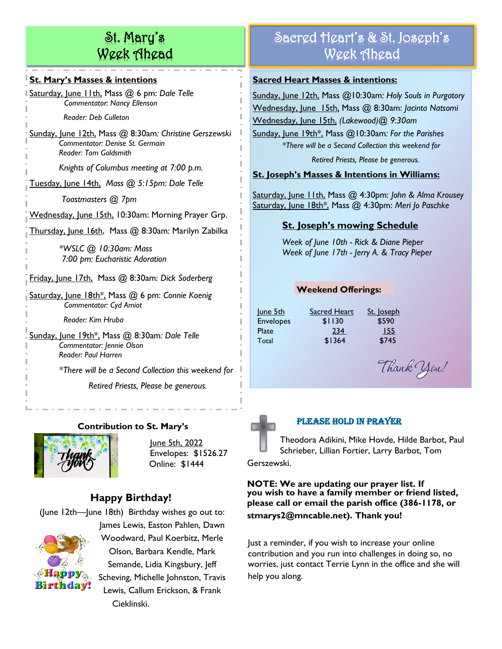# St. Mary's Week Ahead

### **St. Mary's Masses & intentions**

Saturday, June 11th, Mass @ 6 pm: *Dale Telle Commentator: Nancy Ellenson*

 *Reader: Deb Culleton*

Sunday, June 12th, Mass @ 8:30am*: Christine Gerszewski Commentator: Denise St. Germain Reader: Tom Goldsmith*

*Knights of Columbus meeting at 7:00 p.m.*

Tuesday, June 14th, *Mass @ 5:15pm: Dale Telle*

*Toastmasters @ 7pm*

Wednesday, June 15th, 10:30am: Morning Prayer Grp.

Thursday, June 16th, Mass @ 8:30am: Marilyn Zabilka 

 *\*WSLC @ 10:30am: Mass 7:00 pm: Eucharistic Adoration*

Friday, June 17th, Mass @ 8:30am: *Dick Soderberg*

Saturday, June 18th\*, Mass @ 6 pm: *Connie Koenig Commentator: Cyd Amiot*

 *Reader: Kim Hruba*

Sunday, June 19th\*, Mass @ 8:30am*: Dale Telle Commentator: Jennie Olson Reader: Paul Harren*

*\*There will be a Second Collection this weekend for* 

*Retired Priests, Please be generous.*

## **Contribution to St. Mary's**



June 5th, 2022 Envelopes: \$1526.27 Online: \$1444

# **Happy Birthday!**

(June 12th—June 18th) Birthday wishes go out to: James Lewis, Easton Pahlen, Dawn Woodward, Paul Koerbitz, Merle Olson, Barbara Kendle, Mark Semande, Lidia Kingsbury, Jeff Scheving, Michelle Johnston, Travis Lewis, Callum Erickson, & Frank Cieklinski.

# Sacred Heart's & St. Joseph's Week Ahead

## **Sacred Heart Masses & intentions:**

Sunday, June 12th, Mass @10:30am*: Holy Souls in Purgatory* Wednesday, June 15th, Mass @ 8:30am: *Jacinta Natsomi* Wednesday, June 15th, *(Lakewood)@ 9:30am*

Sunday, June 19th\*, Mass @10:30am*: For the Parishes \*There will be a Second Collection this weekend for* 

*Retired Priests, Please be generous.*

## **St. Joseph's Masses & Intentions in Williams:**

Saturday, June 11th, Mass @ 4:30pm: *John & Alma Krousey* Saturday, June 18th\*, Mass @ 4:30pm: *Meri Jo Paschke* 

# **St. Joseph's mowing Schedule**

*Week of June 10th - Rick & Diane Pieper Week of June 17th - Jerry A. & Tracy Pieper*

# **Weekend Offerings:**

June 5th Sacred Heart St. Joseph Envelopes \$1130 \$590 Plate 234 155 Total \$1364 \$745

Thank You!



## Please Hold in Prayer

Theodora Adikini, Mike Hovde, Hilde Barbot, Paul Schrieber, Lillian Fortier, Larry Barbot, Tom

Gerszewski.

**NOTE: We are updating our prayer list. If you wish to have a family member or friend listed, please call or email the parish office (386-1178, or stmarys2@mncable.net). Thank you!**

Just a reminder, if you wish to increase your online contribution and you run into challenges in doing so, no worries, just contact Terrie Lynn in the office and she will help you along.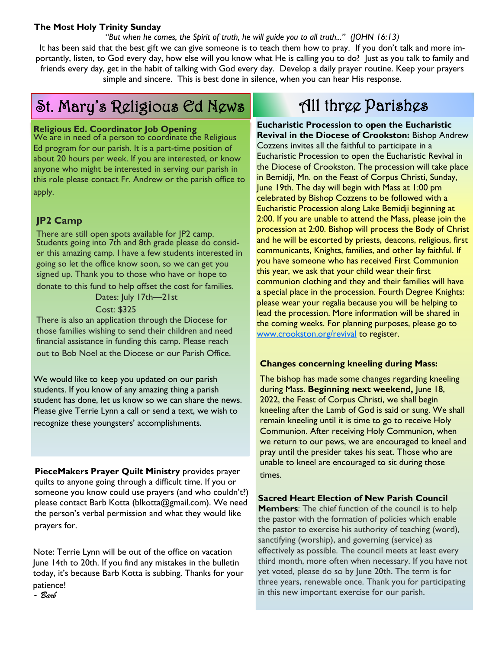#### **The Most Holy Trinity Sunday**

*"But when he comes, the Spirit of truth, he will guide you to all truth..." (JOHN 16:13)*

It has been said that the best gift we can give someone is to teach them how to pray. If you don't talk and more importantly, listen, to God every day, how else will you know what He is calling you to do? Just as you talk to family and friends every day, get in the habit of talking with God every day. Develop a daily prayer routine. Keep your prayers simple and sincere. This is best done in silence, when you can hear His response.

# St. Mary's Religious Ed News

#### **Religious Ed. Coordinator Job Opening**

We are in need of a person to coordinate the Religious Ed program for our parish. It is a part-time position of about 20 hours per week. If you are interested, or know anyone who might be interested in serving our parish in this role please contact Fr. Andrew or the parish office to apply.

## **JP2 Camp**

There are still open spots available for JP2 camp. Students going into 7th and 8th grade please do consider this amazing camp. I have a few students interested in going so let the office know soon, so we can get you signed up. Thank you to those who have or hope to donate to this fund to help offset the cost for families.

Dates: July 17th—21st

Cost: \$325

There is also an application through the Diocese for those families wishing to send their children and need financial assistance in funding this camp. Please reach out to Bob Noel at the Diocese or our Parish Office.

We would like to keep you updated on our parish students. If you know of any amazing thing a parish student has done, let us know so we can share the news. Please give Terrie Lynn a call or send a text, we wish to recognize these youngsters' accomplishments.

**PieceMakers Prayer Quilt Ministry** provides prayer quilts to anyone going through a difficult time. If you or someone you know could use prayers (and who couldn't?) please contact Barb Kotta (blkotta@gmail.com). We need the person's verbal permission and what they would like prayers for.

Note: Terrie Lynn will be out of the office on vacation June 14th to 20th. If you find any mistakes in the bulletin today, it's because Barb Kotta is subbing. Thanks for your patience!

# All three Parishes

**Eucharistic Procession to open the Eucharistic Revival in the Diocese of Crookston:** Bishop Andrew Cozzens invites all the faithful to participate in a Eucharistic Procession to open the Eucharistic Revival in the Diocese of Crookston. The procession will take place in Bemidji, Mn. on the Feast of Corpus Christi, Sunday, June 19th. The day will begin with Mass at 1:00 pm celebrated by Bishop Cozzens to be followed with a Eucharistic Procession along Lake Bemidji beginning at 2:00. If you are unable to attend the Mass, please join the procession at 2:00. Bishop will process the Body of Christ and he will be escorted by priests, deacons, religious, first communicants, Knights, families, and other lay faithful. If you have someone who has received First Communion this year, we ask that your child wear their first communion clothing and they and their families will have a special place in the procession. Fourth Degree Knights: please wear your regalia because you will be helping to lead the procession. More information will be shared in the coming weeks. For planning purposes, please go to [www.crookston.org/revival](http://www.crookston.org/revival) to register.

#### **Changes concerning kneeling during Mass:**

The bishop has made some changes regarding kneeling during Mass. **Beginning next weekend,** June 18, 2022, the Feast of Corpus Christi, we shall begin kneeling after the Lamb of God is said or sung. We shall remain kneeling until it is time to go to receive Holy Communion. After receiving Holy Communion, when we return to our pews, we are encouraged to kneel and pray until the presider takes his seat. Those who are unable to kneel are encouraged to sit during those times.

**Sacred Heart Election of New Parish Council** 

**Members**: The chief function of the council is to help the pastor with the formation of policies which enable the pastor to exercise his authority of teaching (word), sanctifying (worship), and governing (service) as effectively as possible. The council meets at least every third month, more often when necessary. If you have not yet voted, please do so by June 20th. The term is for three years, renewable once. Thank you for participating in this new important exercise for our parish.

*- Barb*